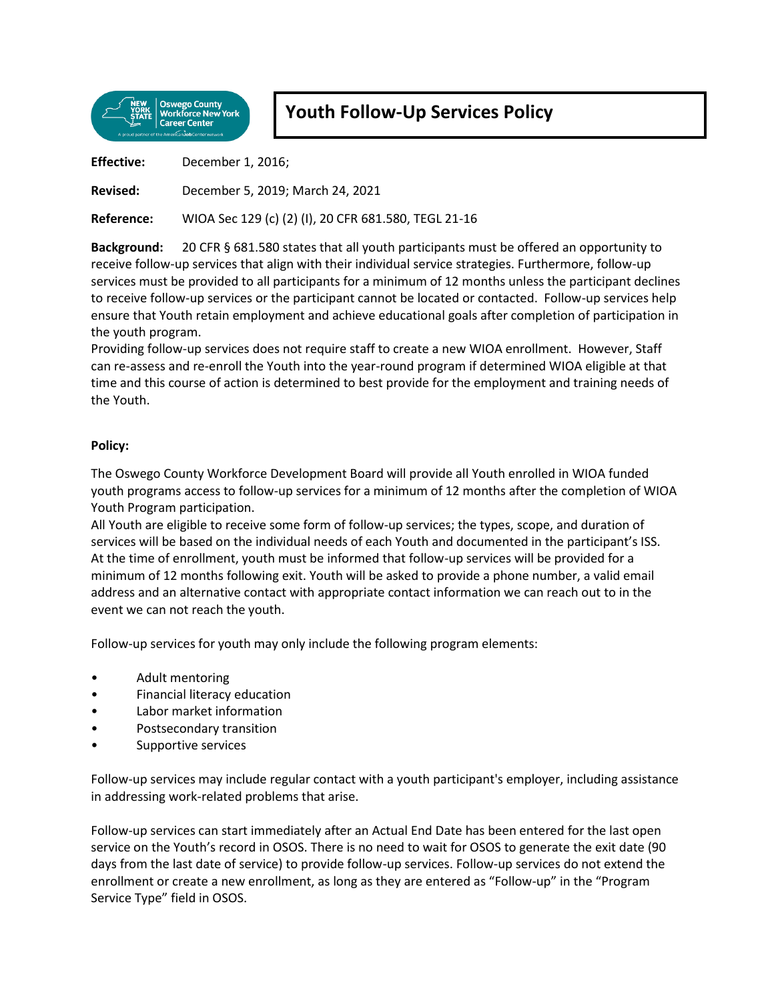

## **Youth Follow-Up Services Policy**

**Effective:** December 1, 2016;

**Revised:** December 5, 2019; March 24, 2021

**Reference:** WIOA Sec 129 (c) (2) (I), 20 CFR 681.580, TEGL 21-16

**Background:** 20 CFR § 681.580 states that all youth participants must be offered an opportunity to receive follow-up services that align with their individual service strategies. Furthermore, follow-up services must be provided to all participants for a minimum of 12 months unless the participant declines to receive follow-up services or the participant cannot be located or contacted. Follow-up services help ensure that Youth retain employment and achieve educational goals after completion of participation in the youth program.

Providing follow-up services does not require staff to create a new WIOA enrollment. However, Staff can re-assess and re-enroll the Youth into the year-round program if determined WIOA eligible at that time and this course of action is determined to best provide for the employment and training needs of the Youth.

## **Policy:**

The Oswego County Workforce Development Board will provide all Youth enrolled in WIOA funded youth programs access to follow-up services for a minimum of 12 months after the completion of WIOA Youth Program participation.

All Youth are eligible to receive some form of follow-up services; the types, scope, and duration of services will be based on the individual needs of each Youth and documented in the participant's ISS. At the time of enrollment, youth must be informed that follow-up services will be provided for a minimum of 12 months following exit. Youth will be asked to provide a phone number, a valid email address and an alternative contact with appropriate contact information we can reach out to in the event we can not reach the youth.

Follow-up services for youth may only include the following program elements:

- Adult mentoring
- Financial literacy education
- Labor market information
- Postsecondary transition
- Supportive services

Follow-up services may include regular contact with a youth participant's employer, including assistance in addressing work-related problems that arise.

Follow-up services can start immediately after an Actual End Date has been entered for the last open service on the Youth's record in OSOS. There is no need to wait for OSOS to generate the exit date (90 days from the last date of service) to provide follow-up services. Follow-up services do not extend the enrollment or create a new enrollment, as long as they are entered as "Follow-up" in the "Program Service Type" field in OSOS.